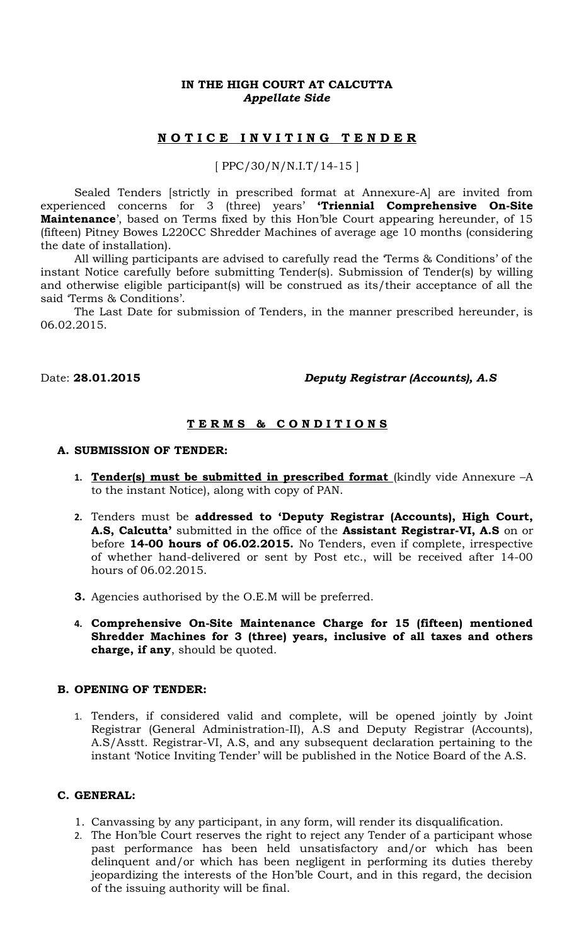## **IN THE HIGH COURT AT CALCUTTA** *Appellate Side*

# **N O T I C E I N V I T I N G T E N D E R**

## [ PPC/30/N/N.I.T/14-15 ]

Sealed Tenders [strictly in prescribed format at Annexure-A] are invited from experienced concerns for 3 (three) years' **'Triennial Comprehensive On-Site Maintenance**', based on Terms fixed by this Hon'ble Court appearing hereunder, of 15 (fifteen) Pitney Bowes L220CC Shredder Machines of average age 10 months (considering the date of installation).

All willing participants are advised to carefully read the 'Terms & Conditions' of the instant Notice carefully before submitting Tender(s). Submission of Tender(s) by willing and otherwise eligible participant(s) will be construed as its/their acceptance of all the said 'Terms & Conditions'.

The Last Date for submission of Tenders, in the manner prescribed hereunder, is 06.02.2015.

## Date: **28.01.2015** *Deputy Registrar (Accounts), A.S*

# **T E R M S & C O N D I T I O N S**

#### **A. SUBMISSION OF TENDER:**

- 1. **Tender(s) must be submitted in prescribed format** (kindly vide Annexure -A to the instant Notice), along with copy of PAN.
- **2.** Tenders must be **addressed to 'Deputy Registrar (Accounts), High Court, A.S, Calcutta'** submitted in the office of the **Assistant Registrar-VI, A.S** on or before **14-00 hours of 06.02.2015.** No Tenders, even if complete, irrespective of whether hand-delivered or sent by Post etc., will be received after 14-00 hours of 06.02.2015.
- **3.** Agencies authorised by the O.E.M will be preferred.
- **4. Comprehensive On-Site Maintenance Charge for 15 (fifteen) mentioned Shredder Machines for 3 (three) years, inclusive of all taxes and others charge, if any**, should be quoted.

### **B. OPENING OF TENDER:**

1. Tenders, if considered valid and complete, will be opened jointly by Joint Registrar (General Administration-II), A.S and Deputy Registrar (Accounts), A.S/Asstt. Registrar-VI, A.S, and any subsequent declaration pertaining to the instant 'Notice Inviting Tender' will be published in the Notice Board of the A.S.

### **C. GENERAL:**

- 1. Canvassing by any participant, in any form, will render its disqualification.
- 2. The Hon'ble Court reserves the right to reject any Tender of a participant whose past performance has been held unsatisfactory and/or which has been delinquent and/or which has been negligent in performing its duties thereby jeopardizing the interests of the Hon'ble Court, and in this regard, the decision of the issuing authority will be final.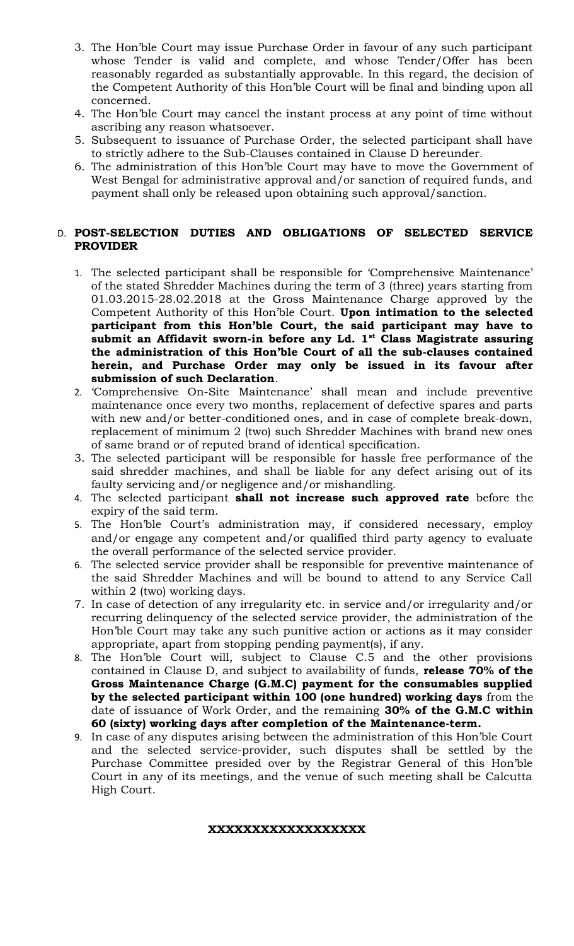- 3. The Hon'ble Court may issue Purchase Order in favour of any such participant whose Tender is valid and complete, and whose Tender/Offer has been reasonably regarded as substantially approvable. In this regard, the decision of the Competent Authority of this Hon'ble Court will be final and binding upon all concerned.
- 4. The Hon'ble Court may cancel the instant process at any point of time without ascribing any reason whatsoever.
- 5. Subsequent to issuance of Purchase Order, the selected participant shall have to strictly adhere to the Sub-Clauses contained in Clause D hereunder.
- 6. The administration of this Hon'ble Court may have to move the Government of West Bengal for administrative approval and/or sanction of required funds, and payment shall only be released upon obtaining such approval/sanction.

# D. **POST-SELECTION DUTIES AND OBLIGATIONS OF SELECTED SERVICE PROVIDER**

- 1. The selected participant shall be responsible for 'Comprehensive Maintenance' of the stated Shredder Machines during the term of 3 (three) years starting from 01.03.2015-28.02.2018 at the Gross Maintenance Charge approved by the Competent Authority of this Hon'ble Court. **Upon intimation to the selected participant from this Hon'ble Court, the said participant may have to submit an Affidavit sworn-in before any Ld. 1st Class Magistrate assuring the administration of this Hon'ble Court of all the sub-clauses contained herein, and Purchase Order may only be issued in its favour after submission of such Declaration**.
- 2. 'Comprehensive On-Site Maintenance' shall mean and include preventive maintenance once every two months, replacement of defective spares and parts with new and/or better-conditioned ones, and in case of complete break-down, replacement of minimum 2 (two) such Shredder Machines with brand new ones of same brand or of reputed brand of identical specification.
- 3. The selected participant will be responsible for hassle free performance of the said shredder machines, and shall be liable for any defect arising out of its faulty servicing and/or negligence and/or mishandling.
- 4. The selected participant **shall not increase such approved rate** before the expiry of the said term.
- 5. The Hon'ble Court's administration may, if considered necessary, employ and/or engage any competent and/or qualified third party agency to evaluate the overall performance of the selected service provider.
- 6. The selected service provider shall be responsible for preventive maintenance of the said Shredder Machines and will be bound to attend to any Service Call within 2 (two) working days.
- 7. In case of detection of any irregularity etc. in service and/or irregularity and/or recurring delinquency of the selected service provider, the administration of the Hon'ble Court may take any such punitive action or actions as it may consider appropriate, apart from stopping pending payment(s), if any.
- 8. The Hon'ble Court will, subject to Clause C.5 and the other provisions contained in Clause D, and subject to availability of funds, **release 70% of the Gross Maintenance Charge (G.M.C) payment for the consumables supplied by the selected participant within 100 (one hundred) working days** from the date of issuance of Work Order, and the remaining **30% of the G.M.C within 60 (sixty) working days after completion of the Maintenance-term.**
- 9. In case of any disputes arising between the administration of this Hon'ble Court and the selected service-provider, such disputes shall be settled by the Purchase Committee presided over by the Registrar General of this Hon'ble Court in any of its meetings, and the venue of such meeting shall be Calcutta High Court.

# **XXXXXXXXXXXXXXXXXX**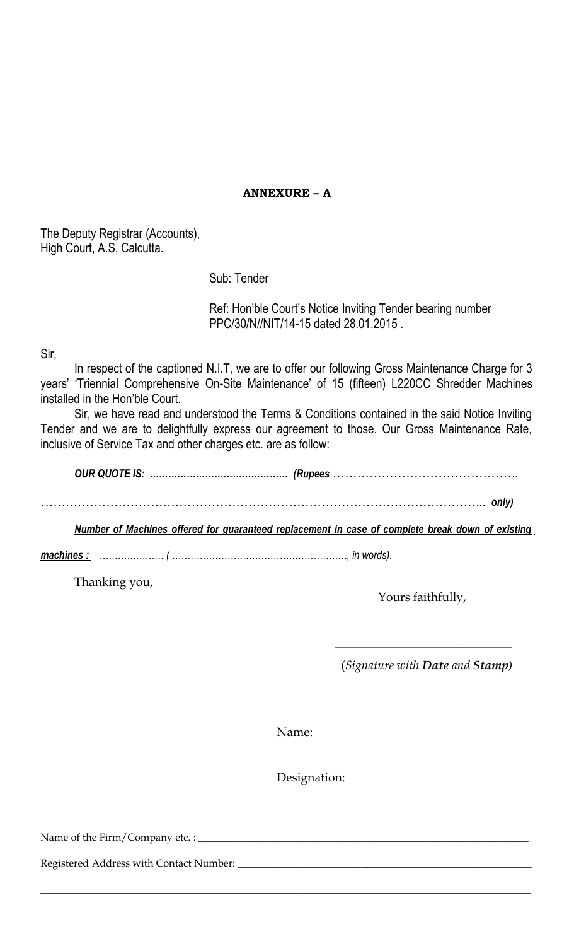**ANNEXURE – A**

The Deputy Registrar (Accounts), High Court, A.S, Calcutta.

Sub: Tender

Ref: Hon'ble Court's Notice Inviting Tender bearing number PPC/30/N//NIT/14-15 dated 28.01.2015 .

Sir,

In respect of the captioned N.I.T, we are to offer our following Gross Maintenance Charge for 3 years' 'Triennial Comprehensive On-Site Maintenance' of 15 (fifteen) L220CC Shredder Machines installed in the Hon'ble Court.

Sir, we have read and understood the Terms & Conditions contained in the said Notice Inviting Tender and we are to delightfully express our agreement to those. Our Gross Maintenance Rate, inclusive of Service Tax and other charges etc. are as follow:

*OUR QUOTE IS: ……………………………………… (Rupees ………………………………………. ……………………………………………………………………………………………….. only)*

*Number of Machines offered for guaranteed replacement in case of complete break down of existing*

*machines : ………………… ( …………………………………………………, in words).*

Thanking you,

Yours faithfully,

(*Signature with Date and Stamp)*

 $\overline{\phantom{a}}$  ,  $\overline{\phantom{a}}$  ,  $\overline{\phantom{a}}$  ,  $\overline{\phantom{a}}$  ,  $\overline{\phantom{a}}$  ,  $\overline{\phantom{a}}$  ,  $\overline{\phantom{a}}$  ,  $\overline{\phantom{a}}$  ,  $\overline{\phantom{a}}$  ,  $\overline{\phantom{a}}$  ,  $\overline{\phantom{a}}$  ,  $\overline{\phantom{a}}$  ,  $\overline{\phantom{a}}$  ,  $\overline{\phantom{a}}$  ,  $\overline{\phantom{a}}$  ,  $\overline{\phantom{a}}$ 

Name:

\_\_\_\_\_\_\_\_\_\_\_\_\_\_\_\_\_\_\_\_\_\_\_\_\_\_\_\_\_\_\_\_\_\_\_\_\_\_\_\_\_\_\_\_\_\_\_\_\_\_\_\_\_\_\_\_\_\_\_\_\_\_\_\_\_\_\_\_\_\_\_\_\_\_\_\_\_\_\_\_\_\_\_\_\_\_\_\_\_\_\_\_\_\_\_

Designation:

Name of the Firm/Company etc. : \_\_\_\_\_\_\_\_\_\_\_\_\_\_\_\_\_\_\_\_\_\_\_\_\_\_\_\_\_\_\_\_\_\_\_\_\_\_\_\_\_\_\_\_\_\_\_\_\_\_\_\_\_\_\_\_\_\_\_\_\_\_\_\_

Registered Address with Contact Number: \_\_\_\_\_\_\_\_\_\_\_\_\_\_\_\_\_\_\_\_\_\_\_\_\_\_\_\_\_\_\_\_\_\_\_\_\_\_\_\_\_\_\_\_\_\_\_\_\_\_\_\_\_\_\_\_\_